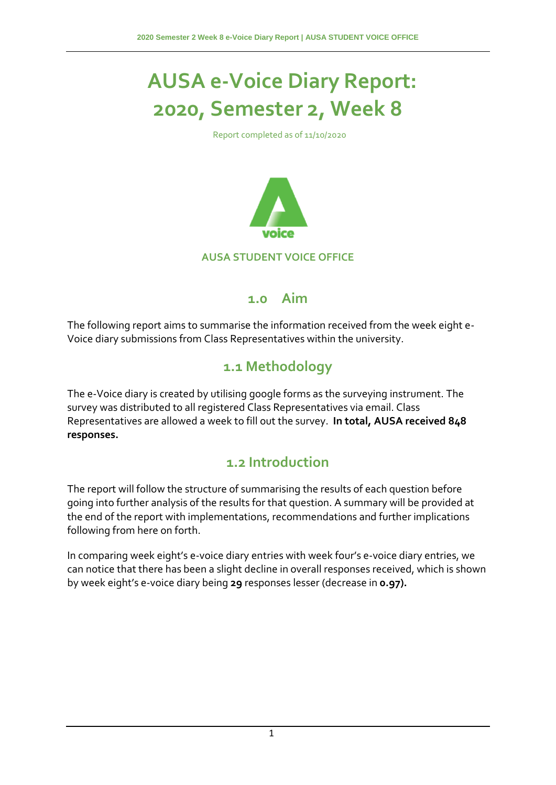# **AUSA e-Voice Diary Report: 2020, Semester 2, Week 8**

Report completed as of 11/10/2020



#### **1.0 Aim**

The following report aims to summarise the information received from the week eight e-Voice diary submissions from Class Representatives within the university.

### **1.1 Methodology**

The e-Voice diary is created by utilising google forms as the surveying instrument. The survey was distributed to all registered Class Representatives via email. Class Representatives are allowed a week to fill out the survey. **In total, AUSA received 848 responses.**

#### **1.2 Introduction**

The report will follow the structure of summarising the results of each question before going into further analysis of the results for that question. A summary will be provided at the end of the report with implementations, recommendations and further implications following from here on forth.

In comparing week eight's e-voice diary entries with week four's e-voice diary entries, we can notice that there has been a slight decline in overall responses received, which is shown by week eight's e-voice diary being **29** responses lesser (decrease in **0.97).**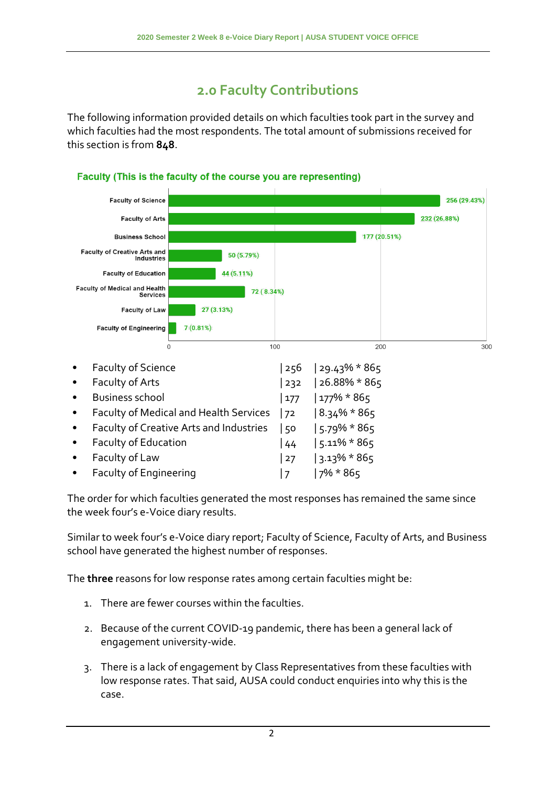# **2.0 Faculty Contributions**

The following information provided details on which faculties took part in the survey and which faculties had the most respondents. The total amount of submissions received for this section is from **848**.



#### Faculty (This is the faculty of the course you are representing)

The order for which faculties generated the most responses has remained the same since the week four's e-Voice diary results.

Similar to week four's e-Voice diary report; Faculty of Science, Faculty of Arts, and Business school have generated the highest number of responses.

The **three** reasons for low response rates among certain faculties might be:

- 1. There are fewer courses within the faculties.
- 2. Because of the current COVID-19 pandemic, there has been a general lack of engagement university-wide.
- 3. There is a lack of engagement by Class Representatives from these faculties with low response rates. That said, AUSA could conduct enquiries into why this is the case.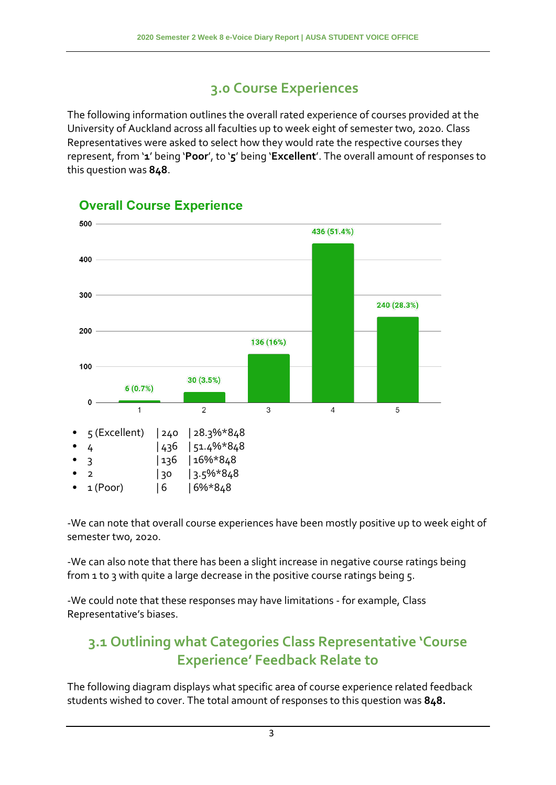# **3.0 Course Experiences**

The following information outlines the overall rated experience of courses provided at the University of Auckland across all faculties up to week eight of semester two, 2020. Class Representatives were asked to select how they would rate the respective courses they represent, from '**1**' being '**Poor**', to '**5**' being '**Excellent**'. The overall amount of responses to this question was **848**.



#### **Overall Course Experience**

-We can note that overall course experiences have been mostly positive up to week eight of semester two, 2020.

-We can also note that there has been a slight increase in negative course ratings being from 1 to 3 with quite a large decrease in the positive course ratings being 5.

-We could note that these responses may have limitations - for example, Class Representative's biases.

### **3.1 Outlining what Categories Class Representative 'Course Experience' Feedback Relate to**

The following diagram displays what specific area of course experience related feedback students wished to cover. The total amount of responses to this question was **848.**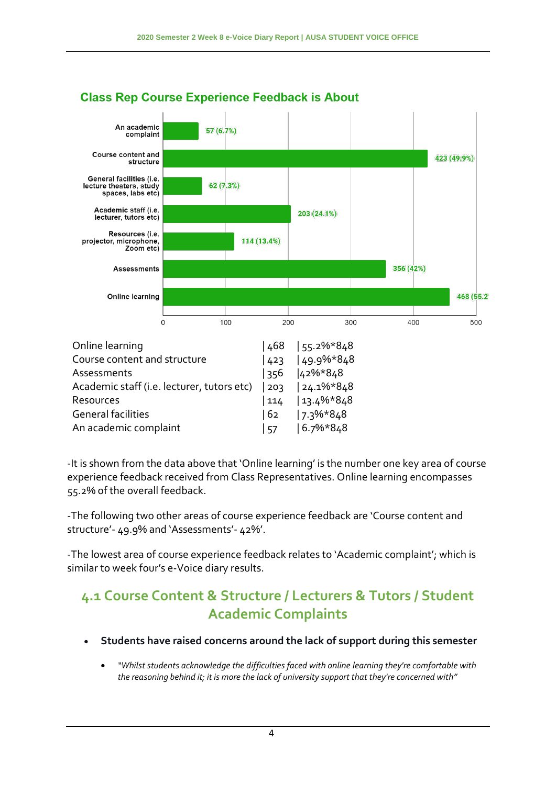

#### **Class Rep Course Experience Feedback is About**

-It is shown from the data above that 'Online learning' is the number one key area of course experience feedback received from Class Representatives. Online learning encompasses 55.2% of the overall feedback.

-The following two other areas of course experience feedback are 'Course content and structure'- 49.9% and 'Assessments'- 42%'.

-The lowest area of course experience feedback relates to 'Academic complaint'; which is similar to week four's e-Voice diary results.

### **4.1 Course Content & Structure / Lecturers & Tutors / Student Academic Complaints**

- **Students have raised concerns around the lack of support during this semester**
	- *"Whilst students acknowledge the difficulties faced with online learning they're comfortable with the reasoning behind it; it is more the lack of university support that they're concerned with"*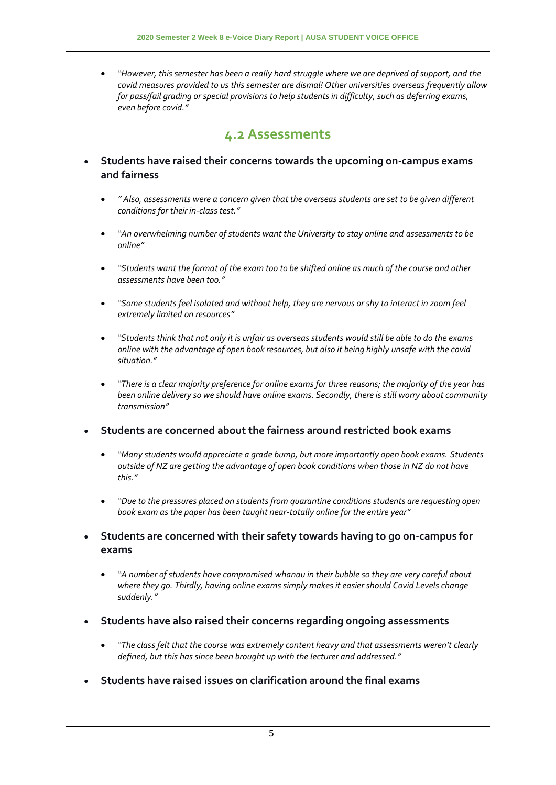*"However, this semester has been a really hard struggle where we are deprived of support, and the covid measures provided to us this semester are dismal! Other universities overseas frequently allow for pass/fail grading or special provisions to help students in difficulty, such as deferring exams, even before covid."*

#### **4.2 Assessments**

- **Students have raised their concerns towards the upcoming on-campus exams and fairness**
	- *" Also, assessments were a concern given that the overseas students are set to be given different conditions for their in-class test."*
	- *"An overwhelming number of students want the University to stay online and assessments to be online"*
	- *"Students want the format of the exam too to be shifted online as much of the course and other assessments have been too."*
	- *"Some students feel isolated and without help, they are nervous or shy to interact in zoom feel extremely limited on resources"*
	- *"Students think that not only it is unfair as overseas students would still be able to do the exams online with the advantage of open book resources, but also it being highly unsafe with the covid situation."*
	- *"There is a clear majority preference for online exams for three reasons; the majority of the year has been online delivery so we should have online exams. Secondly, there is still worry about community transmission"*

#### **Students are concerned about the fairness around restricted book exams**

- *"Many students would appreciate a grade bump, but more importantly open book exams. Students outside of NZ are getting the advantage of open book conditions when those in NZ do not have this."*
- *"Due to the pressures placed on students from quarantine conditions students are requesting open book exam as the paper has been taught near-totally online for the entire year"*
- **Students are concerned with their safety towards having to go on-campus for exams**
	- *"A number of students have compromised whanau in their bubble so they are very careful about where they go. Thirdly, having online exams simply makes it easier should Covid Levels change suddenly."*
- **Students have also raised their concerns regarding ongoing assessments** 
	- *"The class felt that the course was extremely content heavy and that assessments weren't clearly defined, but this has since been brought up with the lecturer and addressed."*
- **Students have raised issues on clarification around the final exams**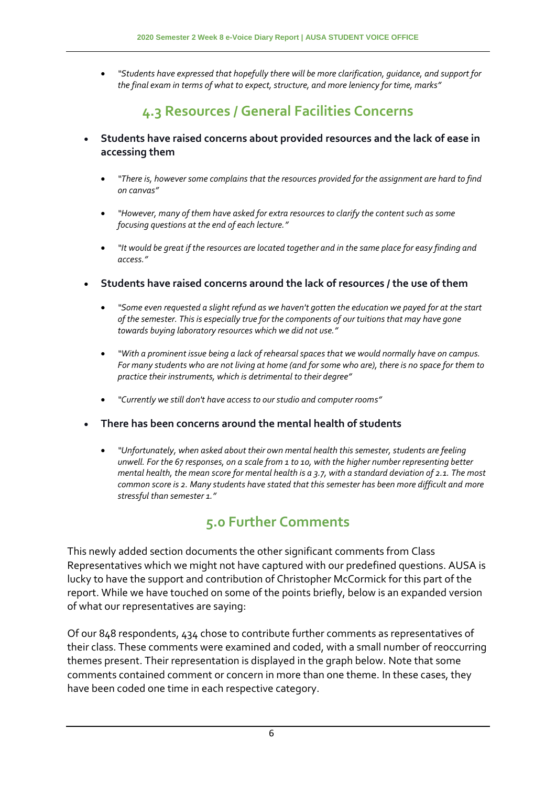*"Students have expressed that hopefully there will be more clarification, guidance, and support for the final exam in terms of what to expect, structure, and more leniency for time, marks"*

### **4.3 Resources / General Facilities Concerns**

- **Students have raised concerns about provided resources and the lack of ease in accessing them**
	- *"There is, however some complains that the resources provided for the assignment are hard to find on canvas"*
	- *"However, many of them have asked for extra resources to clarify the content such as some focusing questions at the end of each lecture."*
	- *"It would be great if the resources are located together and in the same place for easy finding and access."*
- **Students have raised concerns around the lack of resources / the use of them**
	- *"Some even requested a slight refund as we haven't gotten the education we payed for at the start of the semester. This is especially true for the components of our tuitions that may have gone towards buying laboratory resources which we did not use."*
	- *"With a prominent issue being a lack of rehearsal spaces that we would normally have on campus. For many students who are not living at home (and for some who are), there is no space for them to practice their instruments, which is detrimental to their degree"*
	- *"Currently we still don't have access to our studio and computer rooms"*
- **There has been concerns around the mental health of students**
	- *"Unfortunately, when asked about their own mental health this semester, students are feeling unwell. For the 67 responses, on a scale from 1 to 10, with the higher number representing better mental health, the mean score for mental health is a 3.7, with a standard deviation of 2.1. The most common score is 2. Many students have stated that this semester has been more difficult and more stressful than semester 1."*

# **5.0 Further Comments**

This newly added section documents the other significant comments from Class Representatives which we might not have captured with our predefined questions. AUSA is lucky to have the support and contribution of Christopher McCormick for this part of the report. While we have touched on some of the points briefly, below is an expanded version of what our representatives are saying:

Of our 848 respondents, 434 chose to contribute further comments as representatives of their class. These comments were examined and coded, with a small number of reoccurring themes present. Their representation is displayed in the graph below. Note that some comments contained comment or concern in more than one theme. In these cases, they have been coded one time in each respective category.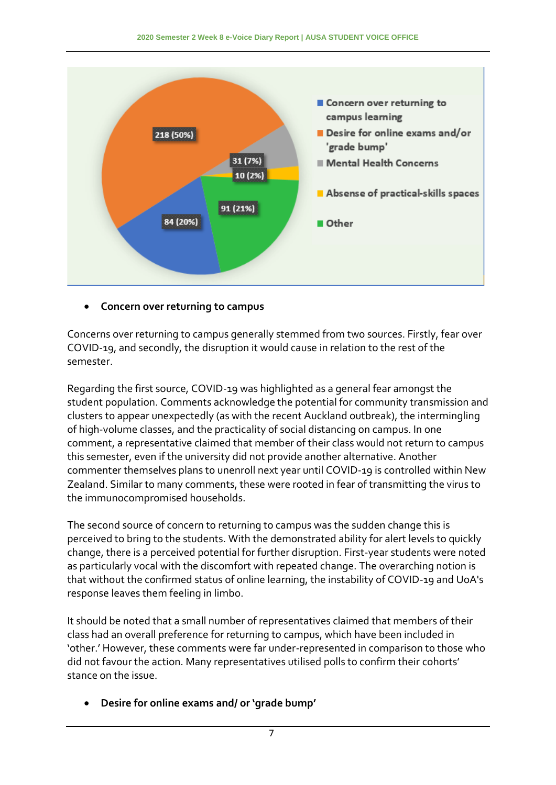

#### **Concern over returning to campus**

Concerns over returning to campus generally stemmed from two sources. Firstly, fear over COVID-19, and secondly, the disruption it would cause in relation to the rest of the semester.

Regarding the first source, COVID-19 was highlighted as a general fear amongst the student population. Comments acknowledge the potential for community transmission and clusters to appear unexpectedly (as with the recent Auckland outbreak), the intermingling of high-volume classes, and the practicality of social distancing on campus. In one comment, a representative claimed that member of their class would not return to campus this semester, even if the university did not provide another alternative. Another commenter themselves plans to unenroll next year until COVID-19 is controlled within New Zealand. Similar to many comments, these were rooted in fear of transmitting the virus to the immunocompromised households.

The second source of concern to returning to campus was the sudden change this is perceived to bring to the students. With the demonstrated ability for alert levels to quickly change, there is a perceived potential for further disruption. First-year students were noted as particularly vocal with the discomfort with repeated change. The overarching notion is that without the confirmed status of online learning, the instability of COVID-19 and UoA's response leaves them feeling in limbo.

It should be noted that a small number of representatives claimed that members of their class had an overall preference for returning to campus, which have been included in 'other.' However, these comments were far under-represented in comparison to those who did not favour the action. Many representatives utilised polls to confirm their cohorts' stance on the issue.

**Desire for online exams and/ or 'grade bump'**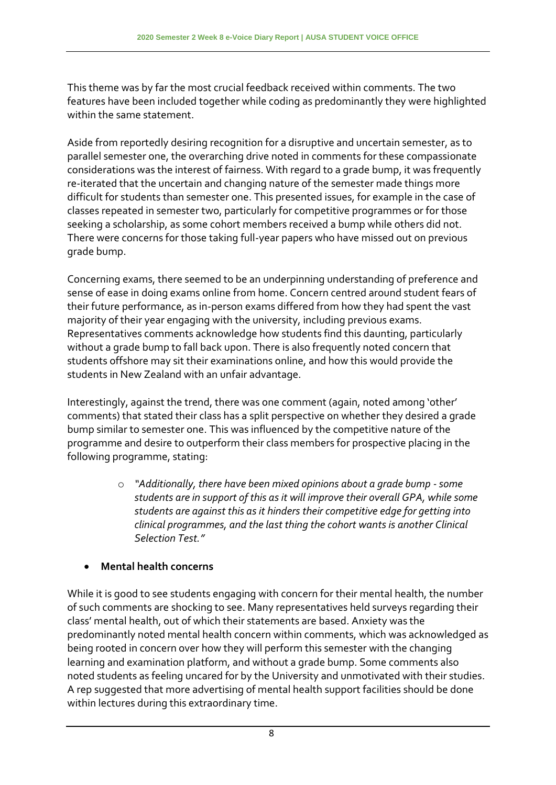This theme was by far the most crucial feedback received within comments. The two features have been included together while coding as predominantly they were highlighted within the same statement.

Aside from reportedly desiring recognition for a disruptive and uncertain semester, as to parallel semester one, the overarching drive noted in comments for these compassionate considerations was the interest of fairness. With regard to a grade bump, it was frequently re-iterated that the uncertain and changing nature of the semester made things more difficult for students than semester one. This presented issues, for example in the case of classes repeated in semester two, particularly for competitive programmes or for those seeking a scholarship, as some cohort members received a bump while others did not. There were concerns for those taking full-year papers who have missed out on previous grade bump.

Concerning exams, there seemed to be an underpinning understanding of preference and sense of ease in doing exams online from home. Concern centred around student fears of their future performance, as in-person exams differed from how they had spent the vast majority of their year engaging with the university, including previous exams. Representatives comments acknowledge how students find this daunting, particularly without a grade bump to fall back upon. There is also frequently noted concern that students offshore may sit their examinations online, and how this would provide the students in New Zealand with an unfair advantage.

Interestingly, against the trend, there was one comment (again, noted among 'other' comments) that stated their class has a split perspective on whether they desired a grade bump similar to semester one. This was influenced by the competitive nature of the programme and desire to outperform their class members for prospective placing in the following programme, stating:

> o *"Additionally, there have been mixed opinions about a grade bump -some students are in support of this as it will improve their overall GPA, while some students are against this as it hinders their competitive edge for getting into clinical programmes, and the last thing the cohort wants is another Clinical Selection Test."*

#### **Mental health concerns**

While it is good to see students engaging with concern for their mental health, the number of such comments are shocking to see. Many representatives held surveys regarding their class' mental health, out of which their statements are based. Anxiety was the predominantly noted mental health concern within comments, which was acknowledged as being rooted in concern over how they will perform this semester with the changing learning and examination platform, and without a grade bump. Some comments also noted students as feeling uncared for by the University and unmotivated with their studies. A rep suggested that more advertising of mental health support facilities should be done within lectures during this extraordinary time.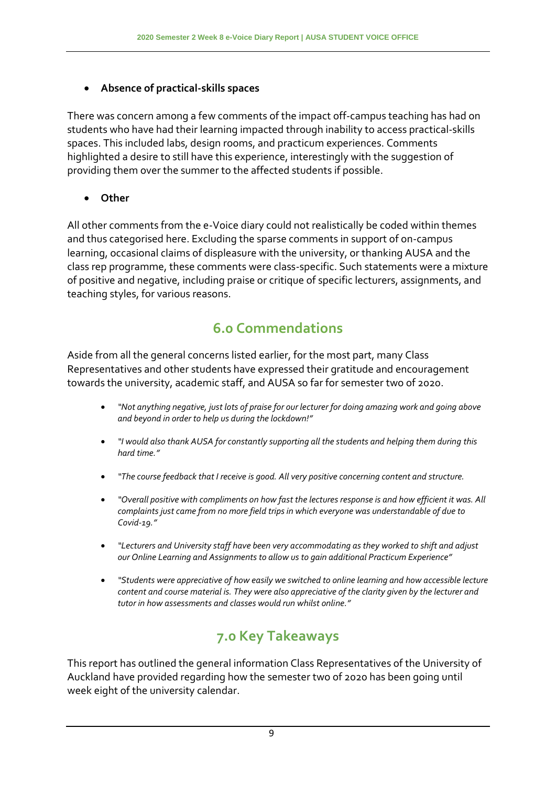#### **Absence of practical-skills spaces**

There was concern among a few comments of the impact off-campus teaching has had on students who have had their learning impacted through inability to access practical-skills spaces. This included labs, design rooms, and practicum experiences. Comments highlighted a desire to still have this experience, interestingly with the suggestion of providing them over the summer to the affected students if possible.

**Other**

All other comments from the e-Voice diary could not realistically be coded within themes and thus categorised here. Excluding the sparse comments in support of on-campus learning, occasional claims of displeasure with the university, or thanking AUSA and the class rep programme, these comments were class-specific. Such statements were a mixture of positive and negative, including praise or critique of specific lecturers, assignments, and teaching styles, for various reasons.

# **6.0 Commendations**

Aside from all the general concerns listed earlier, for the most part, many Class Representatives and other students have expressed their gratitude and encouragement towards the university, academic staff, and AUSA so far for semester two of 2020.

- *"Not anything negative, just lots of praise for our lecturer for doing amazing work and going above and beyond in order to help us during the lockdown!"*
- *"I would also thank AUSA for constantly supporting all the students and helping them during this hard time."*
- *"The course feedback that I receive is good. All very positive concerning content and structure.*
- *"Overall positive with compliments on how fast the lectures response is and how efficient it was. All complaints just came from no more field trips in which everyone was understandable of due to Covid-19."*
- *"Lecturers and University staff have been very accommodating as they worked to shift and adjust our Online Learning and Assignments to allow us to gain additional Practicum Experience"*
- *"Students were appreciative of how easily we switched to online learning and how accessible lecture content and course material is. They were also appreciative of the clarity given by the lecturer and tutor in how assessments and classes would run whilst online."*

# **7.0 Key Takeaways**

This report has outlined the general information Class Representatives of the University of Auckland have provided regarding how the semester two of 2020 has been going until week eight of the university calendar.